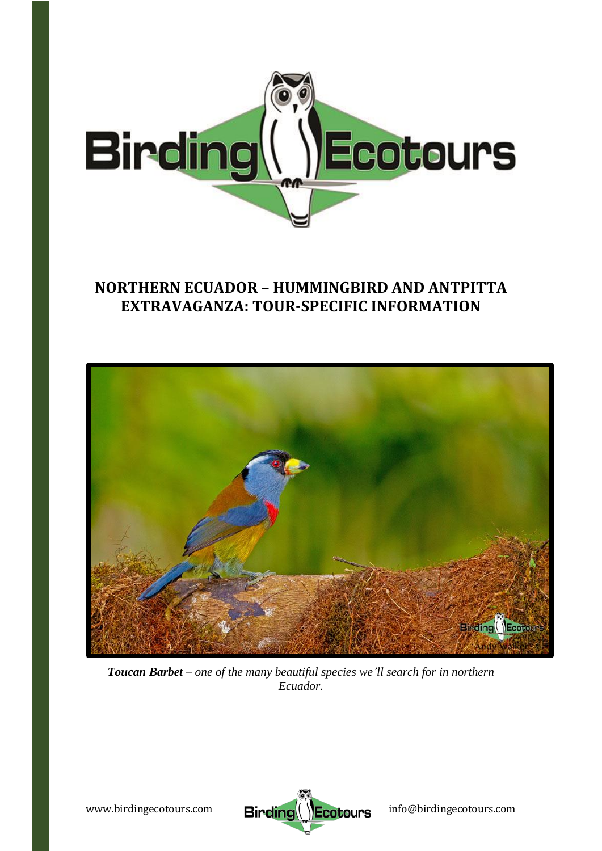

# **NORTHERN ECUADOR – HUMMINGBIRD AND ANTPITTA EXTRAVAGANZA: TOUR-SPECIFIC INFORMATION**



*Toucan Barbet – one of the many beautiful species we'll search for in northern Ecuador.*

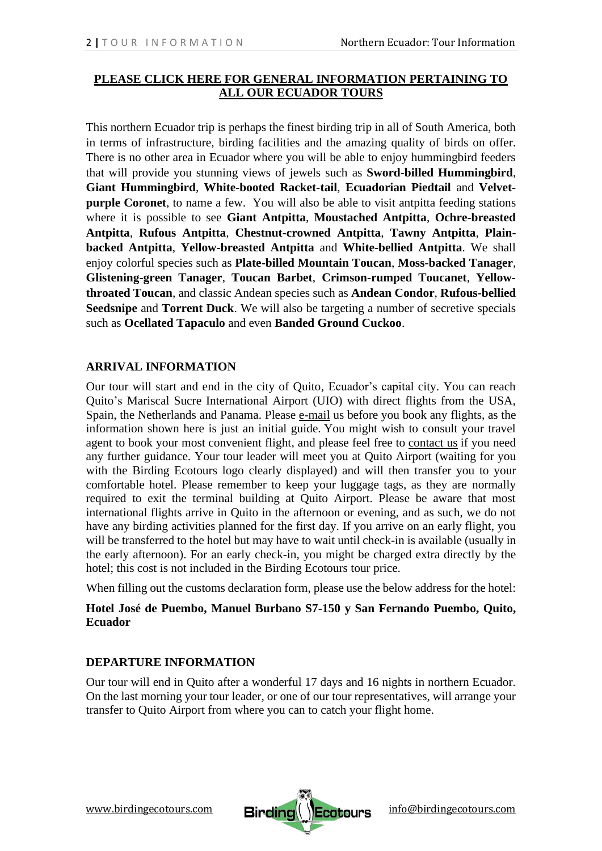# **[PLEASE CLICK HERE FOR GENERAL INFORMATION PERTAINING TO](https://www.birdingecotours.com/ecuador-country-info/)  [ALL OUR ECUADOR TOURS](https://www.birdingecotours.com/ecuador-country-info/)**

This northern Ecuador trip is perhaps the finest birding trip in all of South America, both in terms of infrastructure, birding facilities and the amazing quality of birds on offer. There is no other area in Ecuador where you will be able to enjoy hummingbird feeders that will provide you stunning views of jewels such as **Sword-billed Hummingbird**, **Giant Hummingbird**, **White-booted Racket-tail**, **Ecuadorian Piedtail** and **Velvetpurple Coronet**, to name a few. You will also be able to visit antpitta feeding stations where it is possible to see **Giant Antpitta**, **Moustached Antpitta**, **Ochre-breasted Antpitta**, **Rufous Antpitta**, **Chestnut-crowned Antpitta**, **Tawny Antpitta**, **Plainbacked Antpitta**, **Yellow-breasted Antpitta** and **White-bellied Antpitta**. We shall enjoy colorful species such as **Plate-billed Mountain Toucan**, **Moss-backed Tanager**, **Glistening-green Tanager**, **Toucan Barbet**, **Crimson-rumped Toucanet**, **Yellowthroated Toucan**, and classic Andean species such as **Andean Condor**, **Rufous-bellied Seedsnipe** and **Torrent Duck**. We will also be targeting a number of secretive specials such as **Ocellated Tapaculo** and even **Banded Ground Cuckoo**.

# **ARRIVAL INFORMATION**

Our tour will start and end in the city of Quito, Ecuador's capital city. You can reach Quito's Mariscal Sucre International Airport (UIO) with direct flights from the USA, Spain, the Netherlands and Panama. Please [e-mail](mailto:info@birdingecotours.com) us before you book any flights, as the information shown here is just an initial guide. You might wish to consult your travel agent to book your most convenient flight, and please feel free to [contact](https://www.birdingecotours.com/contact/) us if you need any further guidance. Your tour leader will meet you at Quito Airport (waiting for you with the Birding Ecotours logo clearly displayed) and will then transfer you to your comfortable hotel. Please remember to keep your luggage tags, as they are normally required to exit the terminal building at Quito Airport. Please be aware that most international flights arrive in Quito in the afternoon or evening, and as such, we do not have any birding activities planned for the first day. If you arrive on an early flight, you will be transferred to the hotel but may have to wait until check-in is available (usually in the early afternoon). For an early check-in, you might be charged extra directly by the hotel; this cost is not included in the Birding Ecotours tour price.

When filling out the customs declaration form, please use the below address for the hotel:

# **Hotel José de Puembo, Manuel Burbano S7-150 y San Fernando Puembo, Quito, Ecuador**

# **DEPARTURE INFORMATION**

Our tour will end in Quito after a wonderful 17 days and 16 nights in northern Ecuador. On the last morning your tour leader, or one of our tour representatives, will arrange your transfer to Quito Airport from where you can to catch your flight home.

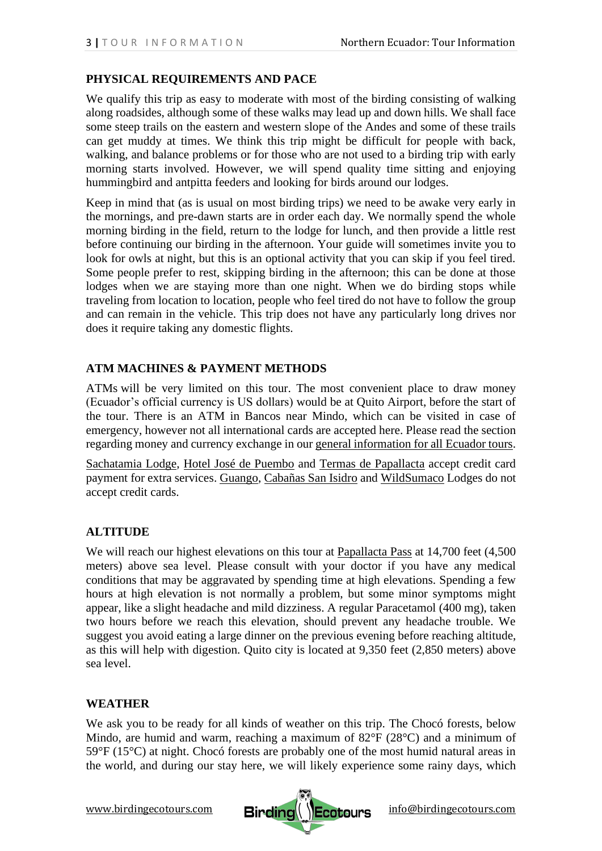# **PHYSICAL REQUIREMENTS AND PACE**

We qualify this trip as easy to moderate with most of the birding consisting of walking along roadsides, although some of these walks may lead up and down hills. We shall face some steep trails on the eastern and western slope of the Andes and some of these trails can get muddy at times. We think this trip might be difficult for people with back, walking, and balance problems or for those who are not used to a birding trip with early morning starts involved. However, we will spend quality time sitting and enjoying hummingbird and antpitta feeders and looking for birds around our lodges.

Keep in mind that (as is usual on most birding trips) we need to be awake very early in the mornings, and pre-dawn starts are in order each day. We normally spend the whole morning birding in the field, return to the lodge for lunch, and then provide a little rest before continuing our birding in the afternoon. Your guide will sometimes invite you to look for owls at night, but this is an optional activity that you can skip if you feel tired. Some people prefer to rest, skipping birding in the afternoon; this can be done at those lodges when we are staying more than one night. When we do birding stops while traveling from location to location, people who feel tired do not have to follow the group and can remain in the vehicle. This trip does not have any particularly long drives nor does it require taking any domestic flights.

# **ATM MACHINES & PAYMENT METHODS**

ATMs will be very limited on this tour. The most convenient place to draw money (Ecuador's official currency is US dollars) would be at Quito Airport, before the start of the tour. There is an ATM in Bancos near Mindo, which can be visited in case of emergency, however not all international cards are accepted here. Please read the section regarding money and currency exchange in our general information for all Ecuador tours.

[Sachatamia Lodge,](https://www.sachatamia.com/) [Hotel José de Puembo](https://www.sanjosedepuembo.com/) and [Termas de Papallacta](https://www.termaspapallacta.com/) accept credit card payment for extra services. [Guango,](https://www.guangolodge.com/) [Cabañas San Isidro](https://www.cabanasanisidro.com/) and [WildSumaco](https://www.wildsumaco.com/) Lodges do not accept credit cards.

# **ALTITUDE**

We will reach our highest elevations on this tour at [Papallacta Pass](https://en.wikipedia.org/wiki/Papallacta) at 14,700 feet (4,500) meters) above sea level. Please consult with your doctor if you have any medical conditions that may be aggravated by spending time at high elevations. Spending a few hours at high elevation is not normally a problem, but some minor symptoms might appear, like a slight headache and mild dizziness. A regular Paracetamol (400 mg), taken two hours before we reach this elevation, should prevent any headache trouble. We suggest you avoid eating a large dinner on the previous evening before reaching altitude, as this will help with digestion. Quito city is located at 9,350 feet (2,850 meters) above sea level.

# **WEATHER**

We ask you to be ready for all kinds of weather on this trip. The Chocó forests, below Mindo, are humid and warm, reaching a maximum of 82°F (28°C) and a minimum of 59°F (15°C) at night. Chocó forests are probably one of the most humid natural areas in the world, and during our stay here, we will likely experience some rainy days, which

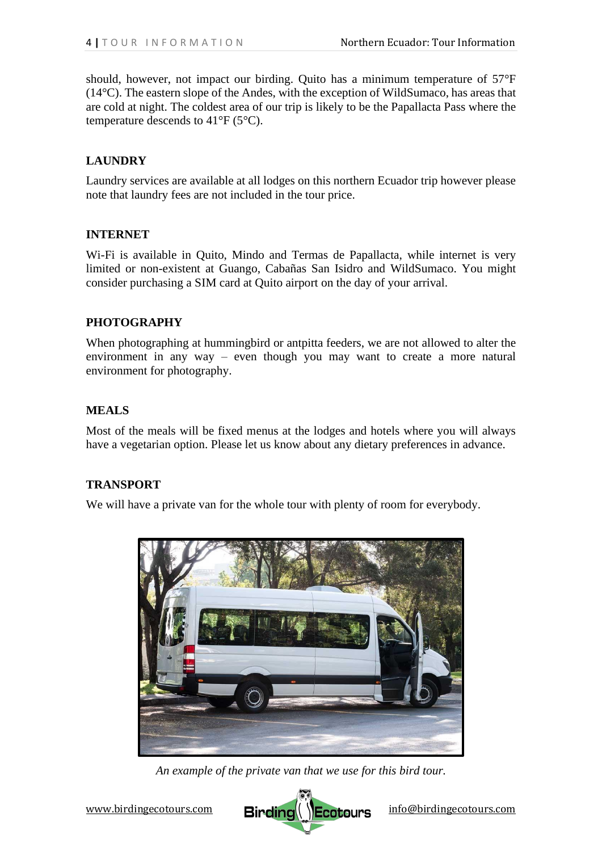should, however, not impact our birding. Quito has a minimum temperature of 57°F (14°C). The eastern slope of the Andes, with the exception of WildSumaco, has areas that are cold at night. The coldest area of our trip is likely to be the Papallacta Pass where the temperature descends to  $41^{\circ}F(5^{\circ}C)$ .

# **LAUNDRY**

Laundry services are available at all lodges on this northern Ecuador trip however please note that laundry fees are not included in the tour price.

### **INTERNET**

Wi-Fi is available in Quito, Mindo and Termas de Papallacta, while internet is very limited or non-existent at Guango, Cabañas San Isidro and WildSumaco. You might consider purchasing a SIM card at Quito airport on the day of your arrival.

# **PHOTOGRAPHY**

When photographing at hummingbird or antpitta feeders, we are not allowed to alter the environment in any way – even though you may want to create a more natural environment for photography.

### **MEALS**

Most of the meals will be fixed menus at the lodges and hotels where you will always have a vegetarian option. Please let us know about any dietary preferences in advance.

#### **TRANSPORT**

We will have a private van for the whole tour with plenty of room for everybody.



*An example of the private van that we use for this bird tour.*